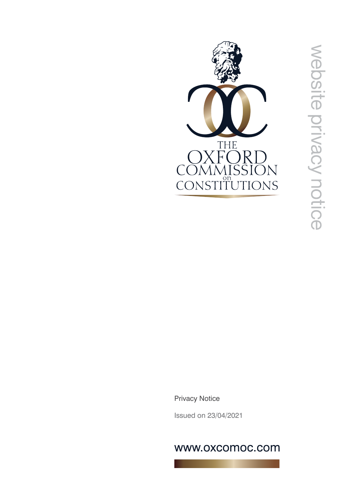

Privacy Notice

Issued on 23/04/2021

# www.oxcomoc.com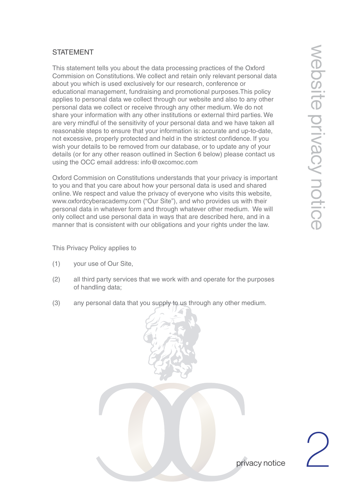## **STATEMENT**

This statement tells you about the data processing practices of the Oxford Commision on Constitutions. We collect and retain only relevant personal data about you which is used exclusively for our research, conference or educational management, fundraising and promotional purposes.This policy applies to personal data we collect through our website and also to any other personal data we collect or receive through any other medium. We do not share your information with any other institutions or external third parties. We are very mindful of the sensitivity of your personal data and we have taken all reasonable steps to ensure that your information is: accurate and up-to-date, not excessive, properly protected and held in the strictest confidence. If you wish your details to be removed from our database, or to update any of your details (or for any other reason outlined in Section 6 below) please contact us using the OCC email address: info@oxcomoc.com

Oxford Commision on Constitutions understands that your privacy is important to you and that you care about how your personal data is used and shared online. We respect and value the privacy of everyone who visits this website, www.oxfordcyberacademy.com ("Our Site"), and who provides us with their personal data in whatever form and through whatever other medium. We will only collect and use personal data in ways that are described here, and in a manner that is consistent with our obligations and your rights under the law.

This Privacy Policy applies to

- (1) your use of Our Site,
- (2) all third party services that we work with and operate for the purposes of handling data;
- (3) any personal data that you supply to us through any other medium.



privacy notice

2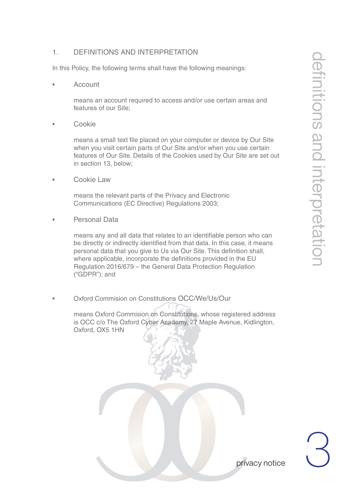# 1. DEFINITIONS AND INTERPRETATION

In this Policy, the following terms shall have the following meanings:

**Account** 

 means an account required to access and/or use certain areas and features of our Site;

• Cookie

 means a small text file placed on your computer or device by Our Site when you visit certain parts of Our Site and/or when you use certain features of Our Site. Details of the Cookies used by Our Site are set out in section 13, below;

Cookie Law

 means the relevant parts of the Privacy and Electronic Communications (EC Directive) Regulations 2003;

• Personal Data

 means any and all data that relates to an identifiable person who can be directly or indirectly identified from that data. In this case, it means personal data that you give to Us via Our Site. This definition shall, where applicable, incorporate the definitions provided in the EU Regulation 2016/679 – the General Data Protection Regulation ("GDPR"); and

• Oxford Commision on Constitutions OCC/We/Us/Our

 means Oxford Commision on Constitutions, whose registered address is OCC c/o The Oxford Cyber Academy, 27 Maple Avenue, Kidlington, Oxford, OX5 1HN



3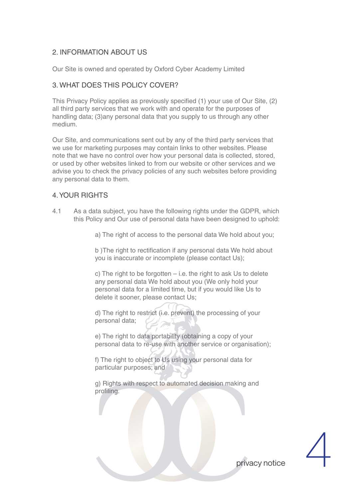## 2. INFORMATION ABOUT US

Our Site is owned and operated by Oxford Cyber Academy Limited

## 3. WHAT DOES THIS POLICY COVER?

This Privacy Policy applies as previously specified (1) your use of Our Site, (2) all third party services that we work with and operate for the purposes of handling data; (3)any personal data that you supply to us through any other medium.

Our Site, and communications sent out by any of the third party services that we use for marketing purposes may contain links to other websites. Please note that we have no control over how your personal data is collected, stored, or used by other websites linked to from our website or other services and we advise you to check the privacy policies of any such websites before providing any personal data to them.

#### 4. YOUR RIGHTS

4.1 As a data subject, you have the following rights under the GDPR, which this Policy and Our use of personal data have been designed to uphold:

a) The right of access to the personal data We hold about you;

 b )The right to rectification if any personal data We hold about you is inaccurate or incomplete (please contact Us);

c) The right to be forgotten  $-$  i.e. the right to ask Us to delete any personal data We hold about you (We only hold your personal data for a limited time, but if you would like Us to delete it sooner, please contact Us;

 d) The right to restrict (i.e. prevent) the processing of your personal data;

 e) The right to data portability (obtaining a copy of your personal data to re-use with another service or organisation);

 f) The right to object to Us using your personal data for particular purposes; and

 g) Rights with respect to automated decision making and profiling.

4

privacy notice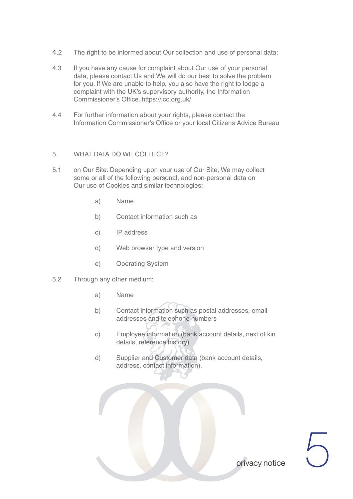- 4.2 The right to be informed about Our collection and use of personal data;
- 4.3 If you have any cause for complaint about Our use of your personal data, please contact Us and We will do our best to solve the problem for you. If We are unable to help, you also have the right to lodge a complaint with the UK's supervisory authority, the Information Commissioner's Office. https://ico.org.uk/
- 4.4 For further information about your rights, please contact the Information Commissioner's Office or your local Citizens Advice Bureau

#### 5. WHAT DATA DO WE COLLECT?

- 5.1 on Our Site: Depending upon your use of Our Site, We may collect some or all of the following personal, and non-personal data on Our use of Cookies and similar technologies:
	- a) Name
	- b) Contact information such as
	- c) IP address
	- d) Web browser type and version
	- e) Operating System
- 5.2 Through any other medium:
	- a) Name
	- b) Contact information such as postal addresses, email addresses and telephone numbers
	- c) Employee information (bank account details, next of kin details, reference history).
	- d) Supplier and Customer data (bank account details, address, contact information).

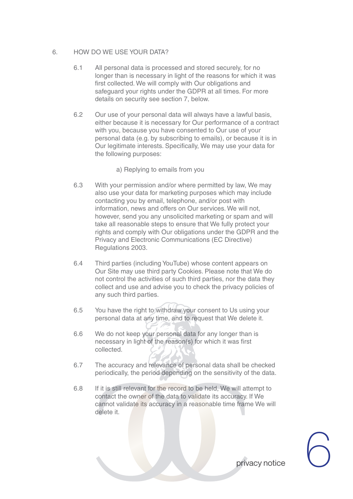#### 6. HOW DO WE USE YOUR DATA?

- 6.1 All personal data is processed and stored securely, for no longer than is necessary in light of the reasons for which it was first collected. We will comply with Our obligations and safeguard your rights under the GDPR at all times. For more details on security see section 7, below.
- 6.2 Our use of your personal data will always have a lawful basis, either because it is necessary for Our performance of a contract with you, because you have consented to Our use of your personal data (e.g. by subscribing to emails), or because it is in Our legitimate interests. Specifically, We may use your data for the following purposes:

a) Replying to emails from you

- 6.3 With your permission and/or where permitted by law, We may also use your data for marketing purposes which may include contacting you by email, telephone, and/or post with information, news and offers on Our services. We will not, however, send you any unsolicited marketing or spam and will take all reasonable steps to ensure that We fully protect your rights and comply with Our obligations under the GDPR and the Privacy and Electronic Communications (EC Directive) Regulations 2003.
- 6.4 Third parties (including YouTube) whose content appears on Our Site may use third party Cookies. Please note that We do not control the activities of such third parties, nor the data they collect and use and advise you to check the privacy policies of any such third parties.
- 6.5 You have the right to withdraw your consent to Us using your personal data at any time, and to request that We delete it.
- 6.6 We do not keep your personal data for any longer than is necessary in light of the reason(s) for which it was first collected.
- 6.7 The accuracy and relevance of personal data shall be checked periodically, the period depending on the sensitivity of the data.
- 6.8 If it is still relevant for the record to be held, We will attempt to contact the owner of the data to validate its accuracy. If We cannot validate its accuracy in a reasonable time frame We will delete it.

privacy notice  $\bigodot$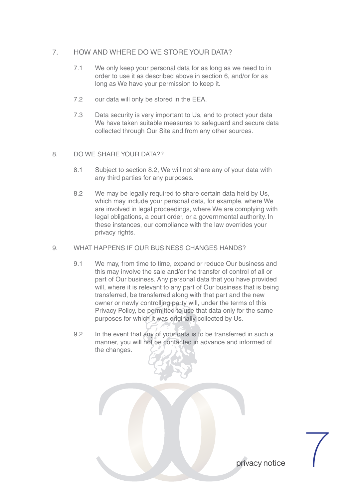## 7. HOW AND WHERE DO WE STORE YOUR DATA?

- 7.1 We only keep your personal data for as long as we need to in order to use it as described above in section 6, and/or for as long as We have your permission to keep it.
- 7.2 our data will only be stored in the EEA.
- 7.3 Data security is very important to Us, and to protect your data We have taken suitable measures to safeguard and secure data collected through Our Site and from any other sources.

#### 8. DO WE SHARE YOUR DATA??

- 8.1 Subject to section 8.2, We will not share any of your data with any third parties for any purposes.
- 8.2 We may be legally required to share certain data held by Us, which may include your personal data, for example, where We are involved in legal proceedings, where We are complying with legal obligations, a court order, or a governmental authority. In these instances, our compliance with the law overrides your privacy rights.

#### 9. WHAT HAPPENS IF OUR BUSINESS CHANGES HANDS?

- 9.1 We may, from time to time, expand or reduce Our business and this may involve the sale and/or the transfer of control of all or part of Our business. Any personal data that you have provided will, where it is relevant to any part of Our business that is being transferred, be transferred along with that part and the new owner or newly controlling party will, under the terms of this Privacy Policy, be permitted to use that data only for the same purposes for which it was originally collected by Us.
- 9.2 In the event that any of your data is to be transferred in such a manner, you will not be contacted in advance and informed of the changes.

privacy notice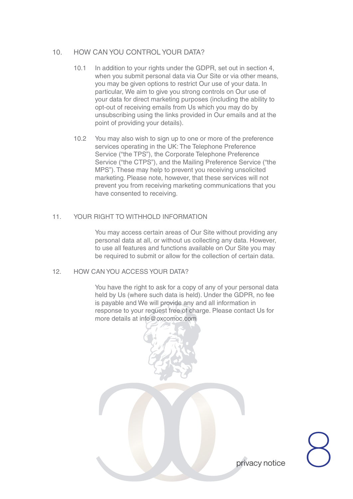## 10. HOW CAN YOU CONTROL YOUR DATA?

- 10.1 In addition to your rights under the GDPR, set out in section 4, when you submit personal data via Our Site or via other means, you may be given options to restrict Our use of your data. In particular, We aim to give you strong controls on Our use of your data for direct marketing purposes (including the ability to opt-out of receiving emails from Us which you may do by unsubscribing using the links provided in Our emails and at the point of providing your details).
- 10.2 You may also wish to sign up to one or more of the preference services operating in the UK: The Telephone Preference Service ("the TPS"), the Corporate Telephone Preference Service ("the CTPS"), and the Mailing Preference Service ("the MPS"). These may help to prevent you receiving unsolicited marketing. Please note, however, that these services will not prevent you from receiving marketing communications that you have consented to receiving.

#### 11. YOUR RIGHT TO WITHHOLD INFORMATION

 You may access certain areas of Our Site without providing any personal data at all, or without us collecting any data. However, to use all features and functions available on Our Site you may be required to submit or allow for the collection of certain data.

#### 12. HOW CAN YOU ACCESS YOUR DATA?

 You have the right to ask for a copy of any of your personal data held by Us (where such data is held). Under the GDPR, no fee is payable and We will provide any and all information in response to your request free of charge. Please contact Us for more details at info@oxcomoc.com

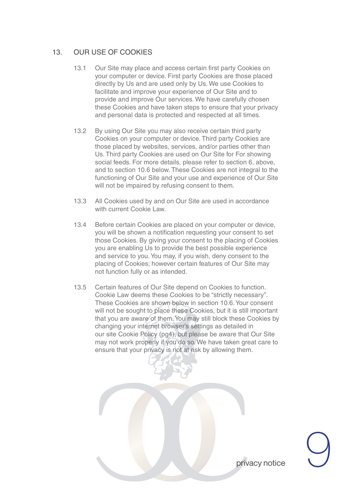## 13. OUR USE OF COOKIES

- 13.1 Our Site may place and access certain first party Cookies on your computer or device. First party Cookies are those placed directly by Us and are used only by Us. We use Cookies to facilitate and improve your experience of Our Site and to provide and improve Our services. We have carefully chosen these Cookies and have taken steps to ensure that your privacy and personal data is protected and respected at all times.
- 13.2 By using Our Site you may also receive certain third party Cookies on your computer or device. Third party Cookies are those placed by websites, services, and/or parties other than Us. Third party Cookies are used on Our Site for For showing social feeds. For more details, please refer to section 6, above, and to section 10.6 below. These Cookies are not integral to the functioning of Our Site and your use and experience of Our Site will not be impaired by refusing consent to them.
- 13.3 All Cookies used by and on Our Site are used in accordance with current Cookie Law.
- 13.4 Before certain Cookies are placed on your computer or device, you will be shown a notification requesting your consent to set those Cookies. By giving your consent to the placing of Cookies you are enabling Us to provide the best possible experience and service to you. You may, if you wish, deny consent to the placing of Cookies; however certain features of Our Site may not function fully or as intended.
- 13.5 Certain features of Our Site depend on Cookies to function. Cookie Law deems these Cookies to be "strictly necessary". These Cookies are shown below in section 10.6. Your consent will not be sought to place these Cookies, but it is still important that you are aware of them. You may still block these Cookies by changing your internet browser's settings as detailed in our site Cookie Policy (pg4), but please be aware that Our Site may not work properly if you do so. We have taken great care to ensure that your privacy is not at risk by allowing them.

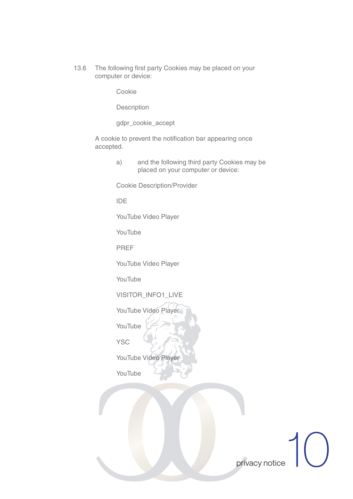13.6 The following first party Cookies may be placed on your computer or device:

Cookie

Description

gdpr\_cookie\_accept

 A cookie to prevent the notification bar appearing once accepted.

> a) and the following third party Cookies may be placed on your computer or device:

Cookie Description/Provider

IDE

YouTube Video Player

YouTube

PREF

YouTube Video Player

YouTube

VISITOR\_INFO1\_LIVE

YouTube Video Player

YouTube

**YSC** 

YouTube Video Player

YouTube

privacy notice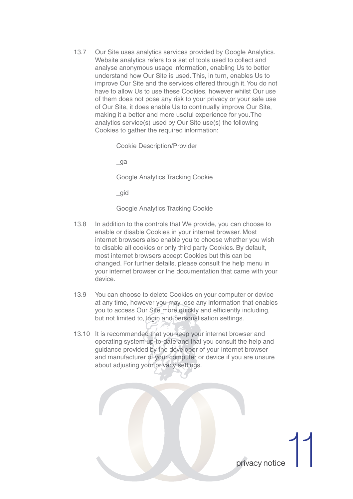13.7 Our Site uses analytics services provided by Google Analytics. Website analytics refers to a set of tools used to collect and analyse anonymous usage information, enabling Us to better understand how Our Site is used. This, in turn, enables Us to improve Our Site and the services offered through it. You do not have to allow Us to use these Cookies, however whilst Our use of them does not pose any risk to your privacy or your safe use of Our Site, it does enable Us to continually improve Our Site, making it a better and more useful experience for you.The analytics service(s) used by Our Site use(s) the following Cookies to gather the required information:

Cookie Description/Provider

\_ga

Google Analytics Tracking Cookie

\_gid

Google Analytics Tracking Cookie

- 13.8 In addition to the controls that We provide, you can choose to enable or disable Cookies in your internet browser. Most internet browsers also enable you to choose whether you wish to disable all cookies or only third party Cookies. By default, most internet browsers accept Cookies but this can be changed. For further details, please consult the help menu in your internet browser or the documentation that came with your device.
- 13.9 You can choose to delete Cookies on your computer or device at any time, however you may lose any information that enables you to access Our Site more quickly and efficiently including, but not limited to, login and personalisation settings.
- 13.10 It is recommended that you keep your internet browser and operating system up-to-date and that you consult the help and guidance provided by the developer of your internet browser and manufacturer of your computer or device if you are unsure about adjusting your privacy settings.